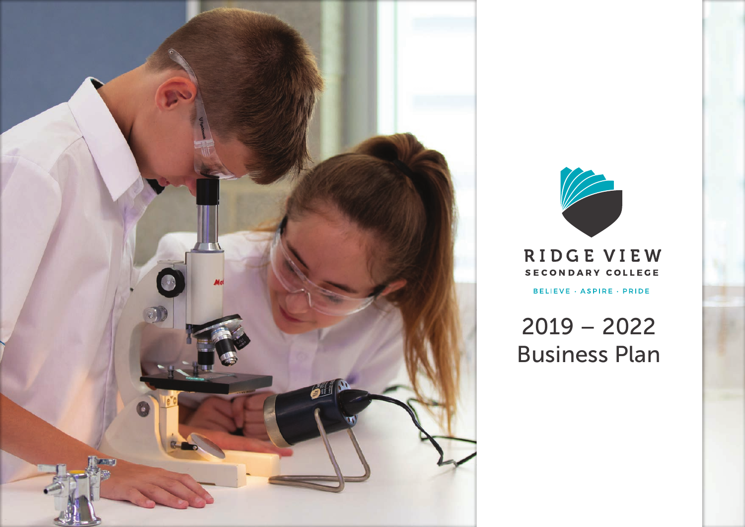



RIDGE VIEW SECONDARY COLLEGE

BELIEVE · ASPIRE · PRIDE

2019 – 2022 Business Plan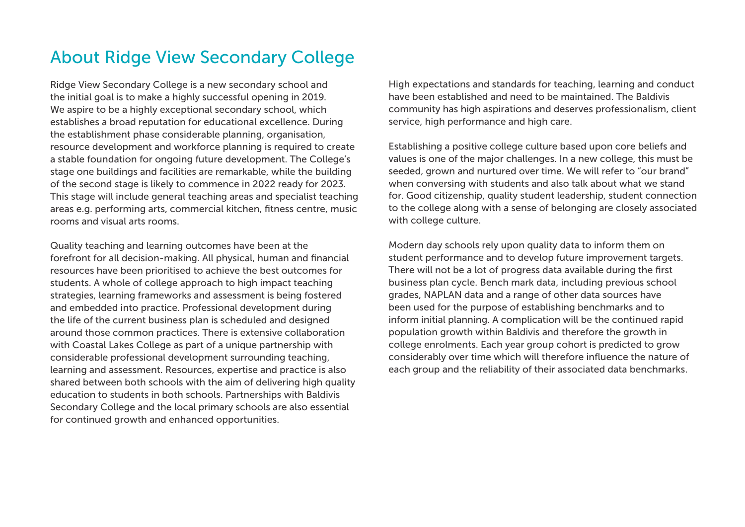# About Ridge View Secondary College

Ridge View Secondary College is a new secondary school and the initial goal is to make a highly successful opening in 2019. We aspire to be a highly exceptional secondary school, which establishes a broad reputation for educational excellence. During the establishment phase considerable planning, organisation, resource development and workforce planning is required to create a stable foundation for ongoing future development. The College's stage one buildings and facilities are remarkable, while the building of the second stage is likely to commence in 2022 ready for 2023. This stage will include general teaching areas and specialist teaching areas e.g. performing arts, commercial kitchen, fitness centre, music rooms and visual arts rooms.

Quality teaching and learning outcomes have been at the forefront for all decision-making. All physical, human and financial resources have been prioritised to achieve the best outcomes for students. A whole of college approach to high impact teaching strategies, learning frameworks and assessment is being fostered and embedded into practice. Professional development during the life of the current business plan is scheduled and designed around those common practices. There is extensive collaboration with Coastal Lakes College as part of a unique partnership with considerable professional development surrounding teaching, learning and assessment. Resources, expertise and practice is also shared between both schools with the aim of delivering high quality education to students in both schools. Partnerships with Baldivis Secondary College and the local primary schools are also essential for continued growth and enhanced opportunities.

High expectations and standards for teaching, learning and conduct have been established and need to be maintained. The Baldivis community has high aspirations and deserves professionalism, client service, high performance and high care.

Establishing a positive college culture based upon core beliefs and values is one of the major challenges. In a new college, this must be seeded, grown and nurtured over time. We will refer to "our brand" when conversing with students and also talk about what we stand for. Good citizenship, quality student leadership, student connection to the college along with a sense of belonging are closely associated with college culture.

Modern day schools rely upon quality data to inform them on student performance and to develop future improvement targets. There will not be a lot of progress data available during the first business plan cycle. Bench mark data, including previous school grades, NAPLAN data and a range of other data sources have been used for the purpose of establishing benchmarks and to inform initial planning. A complication will be the continued rapid population growth within Baldivis and therefore the growth in college enrolments. Each year group cohort is predicted to grow considerably over time which will therefore influence the nature of each group and the reliability of their associated data benchmarks.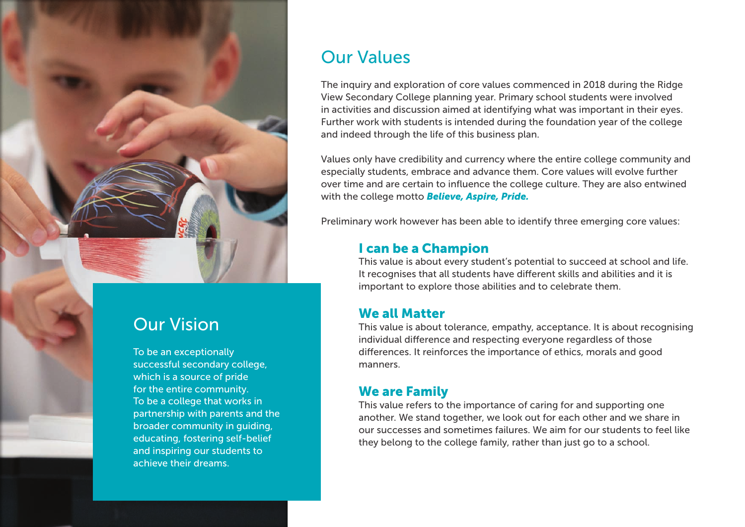

### Our Vision

To be an exceptionally successful secondary college, which is a source of pride for the entire community. To be a college that works in partnership with parents and the broader community in guiding, educating, fostering self-belief and inspiring our students to achieve their dreams.

### Our Values

The inquiry and exploration of core values commenced in 2018 during the Ridge View Secondary College planning year. Primary school students were involved in activities and discussion aimed at identifying what was important in their eyes. Further work with students is intended during the foundation year of the college and indeed through the life of this business plan.

Values only have credibility and currency where the entire college community and especially students, embrace and advance them. Core values will evolve further over time and are certain to influence the college culture. They are also entwined with the college motto *Believe, Aspire, Pride.*

Preliminary work however has been able to identify three emerging core values:

### I can be a Champion

This value is about every student's potential to succeed at school and life. It recognises that all students have different skills and abilities and it is important to explore those abilities and to celebrate them.

#### We all Matter

This value is about tolerance, empathy, acceptance. It is about recognising individual difference and respecting everyone regardless of those differences. It reinforces the importance of ethics, morals and good manners.

#### We are Family

This value refers to the importance of caring for and supporting one another. We stand together, we look out for each other and we share in our successes and sometimes failures. We aim for our students to feel like they belong to the college family, rather than just go to a school.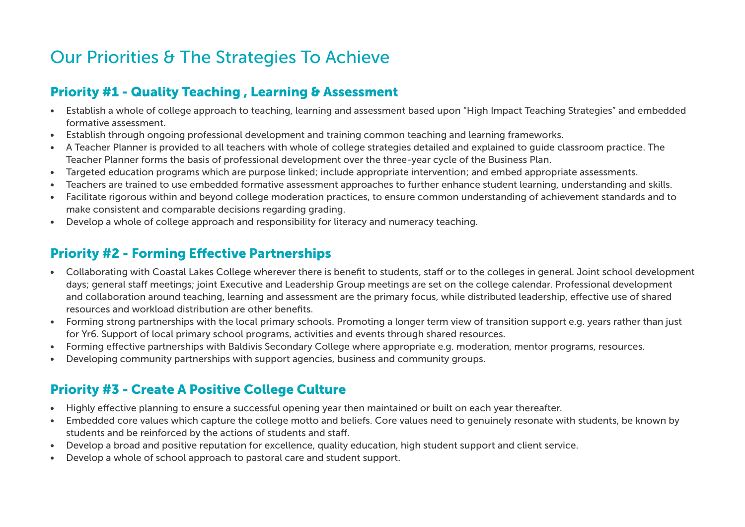# Our Priorities & The Strategies To Achieve

### Priority #1 - Quality Teaching , Learning & Assessment

- Establish a whole of college approach to teaching, learning and assessment based upon "High Impact Teaching Strategies" and embedded formative assessment.
- Establish through ongoing professional development and training common teaching and learning frameworks.
- A Teacher Planner is provided to all teachers with whole of college strategies detailed and explained to guide classroom practice. The Teacher Planner forms the basis of professional development over the three-year cycle of the Business Plan.
- Targeted education programs which are purpose linked; include appropriate intervention; and embed appropriate assessments.
- Teachers are trained to use embedded formative assessment approaches to further enhance student learning, understanding and skills.
- Facilitate rigorous within and beyond college moderation practices, to ensure common understanding of achievement standards and to make consistent and comparable decisions regarding grading.
- Develop a whole of college approach and responsibility for literacy and numeracy teaching.

### Priority #2 - Forming Effective Partnerships

- Collaborating with Coastal Lakes College wherever there is benefit to students, staff or to the colleges in general. Joint school development days; general staff meetings; joint Executive and Leadership Group meetings are set on the college calendar. Professional development and collaboration around teaching, learning and assessment are the primary focus, while distributed leadership, effective use of shared resources and workload distribution are other benefits.
- Forming strong partnerships with the local primary schools. Promoting a longer term view of transition support e.g. years rather than just for Yr6. Support of local primary school programs, activities and events through shared resources.
- Forming effective partnerships with Baldivis Secondary College where appropriate e.g. moderation, mentor programs, resources.
- Developing community partnerships with support agencies, business and community groups.

### Priority #3 - Create A Positive College Culture

- Highly effective planning to ensure a successful opening year then maintained or built on each year thereafter.
- Embedded core values which capture the college motto and beliefs. Core values need to genuinely resonate with students, be known by students and be reinforced by the actions of students and staff.
- Develop a broad and positive reputation for excellence, quality education, high student support and client service.
- Develop a whole of school approach to pastoral care and student support.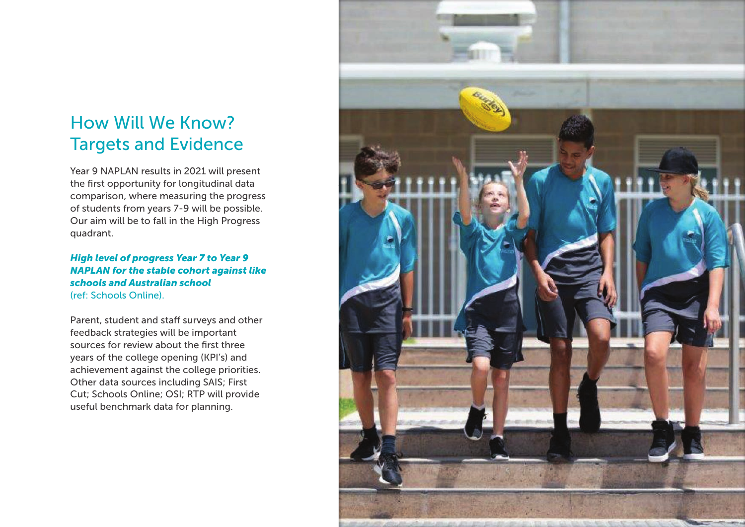# How Will We Know? Targets and Evidence

Year 9 NAPLAN results in 2021 will present the first opportunity for longitudinal data comparison, where measuring the progress of students from years 7-9 will be possible. Our aim will be to fall in the High Progress quadrant.

#### *High level of progress Year 7 to Year 9 NAPLAN for the stable cohort against like schools and Australian school*  (ref: Schools Online).

Parent, student and staff surveys and other feedback strategies will be important sources for review about the first three years of the college opening (KPI's) and achievement against the college priorities. Other data sources including SAIS; First Cut; Schools Online; OSI; RTP will provide useful benchmark data for planning.